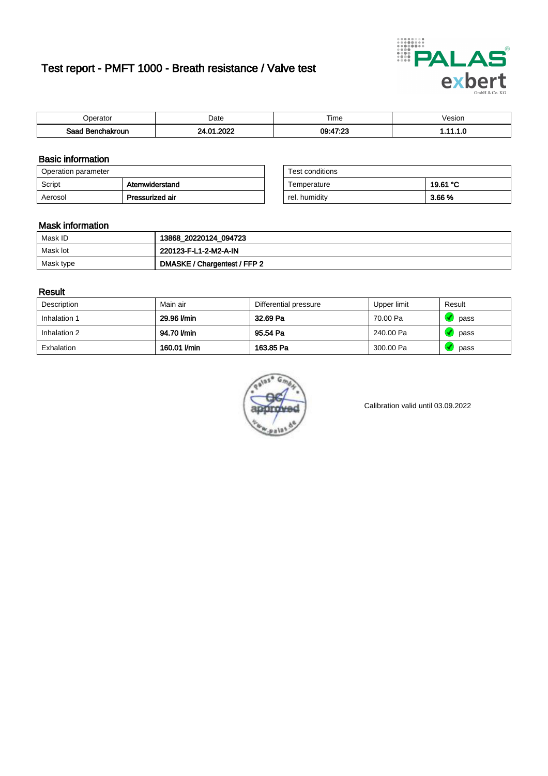# Test report - PMFT 1000 - Breath resistance / Valve test



| )perator               | Date                     | $- \cdot$<br>Гіmе | esion |
|------------------------|--------------------------|-------------------|-------|
| המס<br>hakroun<br>32 H | onos<br>.na<br>91<br>UZ. | 09:47:23<br>∪⊾י   | .     |

### Basic information

| Operation parameter |                 | Test conditions |          |
|---------------------|-----------------|-----------------|----------|
| Script              | Atemwiderstand  | Temperature     | 19.61 °C |
| Aerosol             | Pressurized air | rel. humidity   | 3.66 %   |

| Test conditions |          |
|-----------------|----------|
| Temperature     | 19.61 °C |
| rel. humidity   | 3.66%    |

#### Mask information

| Mask ID   | 13868_20220124_094723        |
|-----------|------------------------------|
| Mask lot  | 220123-F-L1-2-M2-A-IN        |
| Mask type | DMASKE / Chargentest / FFP 2 |

### Result

| Description  | Main air     | Differential pressure | Upper limit | Result |
|--------------|--------------|-----------------------|-------------|--------|
| Inhalation 1 | 29.96 l/min  | 32.69 Pa              | 70.00 Pa    | pass   |
| Inhalation 2 | 94.70 l/min  | 95.54 Pa              | 240.00 Pa   | pass   |
| Exhalation   | 160.01 l/min | 163.85 Pa             | 300.00 Pa   | pass   |



Calibration valid until 03.09.2022